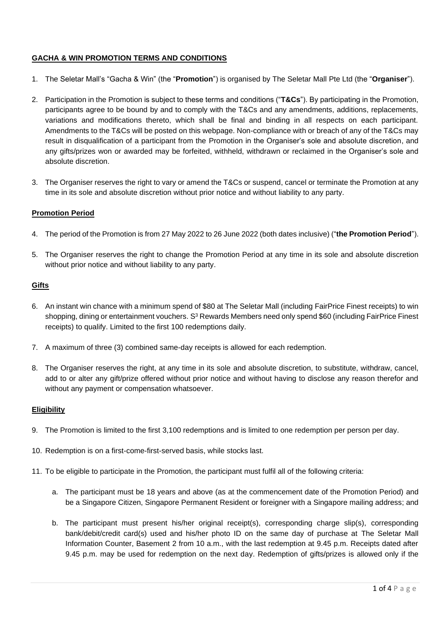# **GACHA & WIN PROMOTION TERMS AND CONDITIONS**

- 1. The Seletar Mall's "Gacha & Win" (the "**Promotion**") is organised by The Seletar Mall Pte Ltd (the "**Organiser**").
- 2. Participation in the Promotion is subject to these terms and conditions ("**T&Cs**"). By participating in the Promotion, participants agree to be bound by and to comply with the T&Cs and any amendments, additions, replacements, variations and modifications thereto, which shall be final and binding in all respects on each participant. Amendments to the T&Cs will be posted on this webpage. Non-compliance with or breach of any of the T&Cs may result in disqualification of a participant from the Promotion in the Organiser's sole and absolute discretion, and any gifts/prizes won or awarded may be forfeited, withheld, withdrawn or reclaimed in the Organiser's sole and absolute discretion.
- 3. The Organiser reserves the right to vary or amend the T&Cs or suspend, cancel or terminate the Promotion at any time in its sole and absolute discretion without prior notice and without liability to any party.

### **Promotion Period**

- 4. The period of the Promotion is from 27 May 2022 to 26 June 2022 (both dates inclusive) ("**the Promotion Period**").
- 5. The Organiser reserves the right to change the Promotion Period at any time in its sole and absolute discretion without prior notice and without liability to any party.

### **Gifts**

- 6. An instant win chance with a minimum spend of \$80 at The Seletar Mall (including FairPrice Finest receipts) to win shopping, dining or entertainment vouchers. S<sup>3</sup> Rewards Members need only spend \$60 (including FairPrice Finest receipts) to qualify. Limited to the first 100 redemptions daily.
- 7. A maximum of three (3) combined same-day receipts is allowed for each redemption.
- 8. The Organiser reserves the right, at any time in its sole and absolute discretion, to substitute, withdraw, cancel, add to or alter any gift/prize offered without prior notice and without having to disclose any reason therefor and without any payment or compensation whatsoever.

#### **Eligibility**

- 9. The Promotion is limited to the first 3,100 redemptions and is limited to one redemption per person per day.
- 10. Redemption is on a first-come-first-served basis, while stocks last.
- 11. To be eligible to participate in the Promotion, the participant must fulfil all of the following criteria:
	- a. The participant must be 18 years and above (as at the commencement date of the Promotion Period) and be a Singapore Citizen, Singapore Permanent Resident or foreigner with a Singapore mailing address; and
	- b. The participant must present his/her original receipt(s), corresponding charge slip(s), corresponding bank/debit/credit card(s) used and his/her photo ID on the same day of purchase at The Seletar Mall Information Counter, Basement 2 from 10 a.m., with the last redemption at 9.45 p.m. Receipts dated after 9.45 p.m. may be used for redemption on the next day. Redemption of gifts/prizes is allowed only if the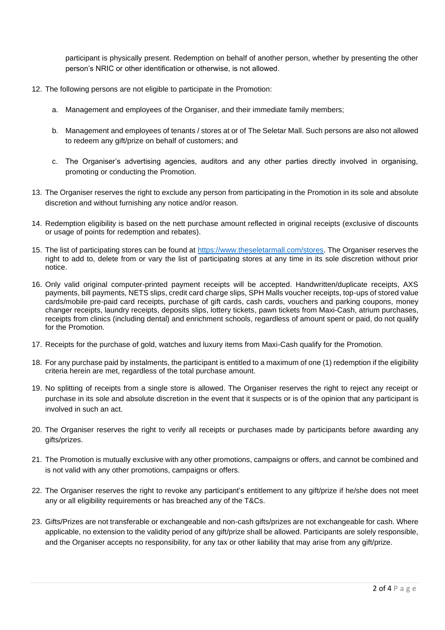participant is physically present. Redemption on behalf of another person, whether by presenting the other person's NRIC or other identification or otherwise, is not allowed.

- 12. The following persons are not eligible to participate in the Promotion:
	- a. Management and employees of the Organiser, and their immediate family members;
	- b. Management and employees of tenants / stores at or of The Seletar Mall. Such persons are also not allowed to redeem any gift/prize on behalf of customers; and
	- c. The Organiser's advertising agencies, auditors and any other parties directly involved in organising, promoting or conducting the Promotion.
- 13. The Organiser reserves the right to exclude any person from participating in the Promotion in its sole and absolute discretion and without furnishing any notice and/or reason.
- 14. Redemption eligibility is based on the nett purchase amount reflected in original receipts (exclusive of discounts or usage of points for redemption and rebates).
- 15. The list of participating stores can be found at [https://www.theseletarmall.com/stores.](https://www.theseletarmall.com/stores) The Organiser reserves the right to add to, delete from or vary the list of participating stores at any time in its sole discretion without prior notice.
- 16. Only valid original computer-printed payment receipts will be accepted. Handwritten/duplicate receipts, AXS payments, bill payments, NETS slips, credit card charge slips, SPH Malls voucher receipts, top-ups of stored value cards/mobile pre-paid card receipts, purchase of gift cards, cash cards, vouchers and parking coupons, money changer receipts, laundry receipts, deposits slips, lottery tickets, pawn tickets from Maxi-Cash, atrium purchases, receipts from clinics (including dental) and enrichment schools, regardless of amount spent or paid, do not qualify for the Promotion.
- 17. Receipts for the purchase of gold, watches and luxury items from Maxi-Cash qualify for the Promotion.
- 18. For any purchase paid by instalments, the participant is entitled to a maximum of one (1) redemption if the eligibility criteria herein are met, regardless of the total purchase amount.
- 19. No splitting of receipts from a single store is allowed. The Organiser reserves the right to reject any receipt or purchase in its sole and absolute discretion in the event that it suspects or is of the opinion that any participant is involved in such an act.
- 20. The Organiser reserves the right to verify all receipts or purchases made by participants before awarding any gifts/prizes.
- 21. The Promotion is mutually exclusive with any other promotions, campaigns or offers, and cannot be combined and is not valid with any other promotions, campaigns or offers.
- 22. The Organiser reserves the right to revoke any participant's entitlement to any gift/prize if he/she does not meet any or all eligibility requirements or has breached any of the T&Cs.
- 23. Gifts/Prizes are not transferable or exchangeable and non-cash gifts/prizes are not exchangeable for cash. Where applicable, no extension to the validity period of any gift/prize shall be allowed. Participants are solely responsible, and the Organiser accepts no responsibility, for any tax or other liability that may arise from any gift/prize.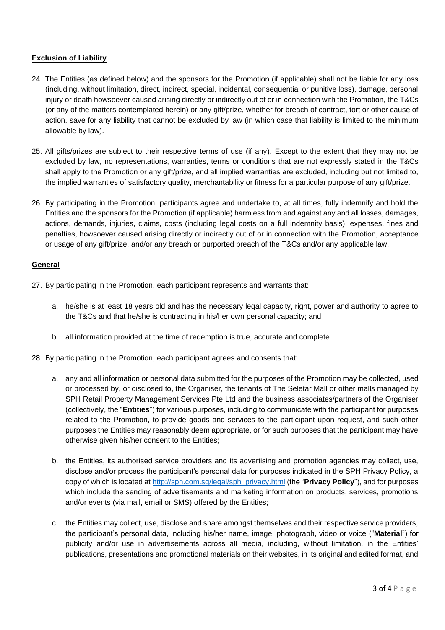# **Exclusion of Liability**

- 24. The Entities (as defined below) and the sponsors for the Promotion (if applicable) shall not be liable for any loss (including, without limitation, direct, indirect, special, incidental, consequential or punitive loss), damage, personal injury or death howsoever caused arising directly or indirectly out of or in connection with the Promotion, the T&Cs (or any of the matters contemplated herein) or any gift/prize, whether for breach of contract, tort or other cause of action, save for any liability that cannot be excluded by law (in which case that liability is limited to the minimum allowable by law).
- 25. All gifts/prizes are subject to their respective terms of use (if any). Except to the extent that they may not be excluded by law, no representations, warranties, terms or conditions that are not expressly stated in the T&Cs shall apply to the Promotion or any gift/prize, and all implied warranties are excluded, including but not limited to, the implied warranties of satisfactory quality, merchantability or fitness for a particular purpose of any gift/prize.
- 26. By participating in the Promotion, participants agree and undertake to, at all times, fully indemnify and hold the Entities and the sponsors for the Promotion (if applicable) harmless from and against any and all losses, damages, actions, demands, injuries, claims, costs (including legal costs on a full indemnity basis), expenses, fines and penalties, howsoever caused arising directly or indirectly out of or in connection with the Promotion, acceptance or usage of any gift/prize, and/or any breach or purported breach of the T&Cs and/or any applicable law.

### **General**

- 27. By participating in the Promotion, each participant represents and warrants that:
	- a. he/she is at least 18 years old and has the necessary legal capacity, right, power and authority to agree to the T&Cs and that he/she is contracting in his/her own personal capacity; and
	- b. all information provided at the time of redemption is true, accurate and complete.
- 28. By participating in the Promotion, each participant agrees and consents that:
	- a. any and all information or personal data submitted for the purposes of the Promotion may be collected, used or processed by, or disclosed to, the Organiser, the tenants of The Seletar Mall or other malls managed by SPH Retail Property Management Services Pte Ltd and the business associates/partners of the Organiser (collectively, the "**Entities**") for various purposes, including to communicate with the participant for purposes related to the Promotion, to provide goods and services to the participant upon request, and such other purposes the Entities may reasonably deem appropriate, or for such purposes that the participant may have otherwise given his/her consent to the Entities;
	- b. the Entities, its authorised service providers and its advertising and promotion agencies may collect, use, disclose and/or process the participant's personal data for purposes indicated in the SPH Privacy Policy, a copy of which is located at [http://sph.com.sg/legal/sph\\_privacy.html](http://sph.com.sg/legal/sph_privacy.html) (the "**Privacy Policy**"), and for purposes which include the sending of advertisements and marketing information on products, services, promotions and/or events (via mail, email or SMS) offered by the Entities;
	- c. the Entities may collect, use, disclose and share amongst themselves and their respective service providers, the participant's personal data, including his/her name, image, photograph, video or voice ("**Material**") for publicity and/or use in advertisements across all media, including, without limitation, in the Entities' publications, presentations and promotional materials on their websites, in its original and edited format, and